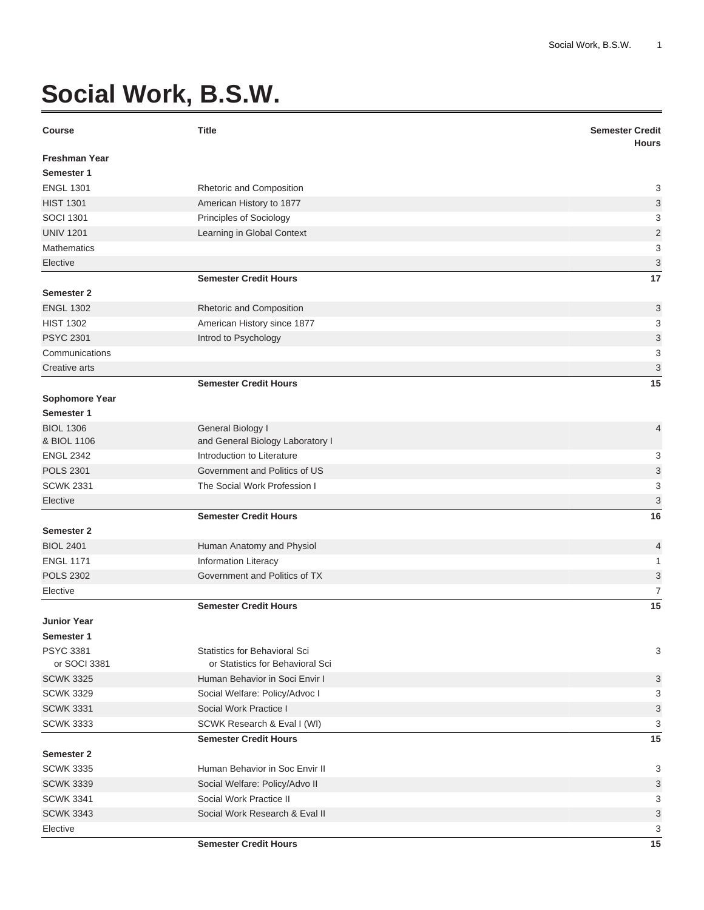## **Social Work, B.S.W.**

| <b>Course</b>        | <b>Title</b>                         | <b>Semester Credit</b><br><b>Hours</b> |
|----------------------|--------------------------------------|----------------------------------------|
| <b>Freshman Year</b> |                                      |                                        |
| Semester 1           |                                      |                                        |
| <b>ENGL 1301</b>     | Rhetoric and Composition             | 3                                      |
| <b>HIST 1301</b>     | American History to 1877             | 3                                      |
| <b>SOCI 1301</b>     | Principles of Sociology              | 3                                      |
| <b>UNIV 1201</b>     | Learning in Global Context           | $\overline{2}$                         |
| <b>Mathematics</b>   |                                      | 3                                      |
| Elective             |                                      | 3                                      |
|                      | <b>Semester Credit Hours</b>         | 17                                     |
| Semester 2           |                                      |                                        |
| <b>ENGL 1302</b>     | Rhetoric and Composition             | 3                                      |
| <b>HIST 1302</b>     | American History since 1877          | 3                                      |
| <b>PSYC 2301</b>     | Introd to Psychology                 | 3                                      |
| Communications       |                                      | 3                                      |
| Creative arts        |                                      | 3                                      |
|                      | <b>Semester Credit Hours</b>         | 15                                     |
| Sophomore Year       |                                      |                                        |
| Semester 1           |                                      |                                        |
| <b>BIOL 1306</b>     | General Biology I                    | 4                                      |
| & BIOL 1106          | and General Biology Laboratory I     |                                        |
| <b>ENGL 2342</b>     | Introduction to Literature           | 3                                      |
| <b>POLS 2301</b>     | Government and Politics of US        | 3                                      |
| <b>SCWK 2331</b>     | The Social Work Profession I         | 3                                      |
| Elective             |                                      | 3                                      |
|                      | <b>Semester Credit Hours</b>         | 16                                     |
| Semester 2           |                                      |                                        |
| <b>BIOL 2401</b>     | Human Anatomy and Physiol            | 4                                      |
| <b>ENGL 1171</b>     | <b>Information Literacy</b>          | 1                                      |
| <b>POLS 2302</b>     | Government and Politics of TX        | 3                                      |
| Elective             |                                      | 7                                      |
|                      | <b>Semester Credit Hours</b>         | 15                                     |
| <b>Junior Year</b>   |                                      |                                        |
| Semester 1           |                                      |                                        |
| <b>PSYC 3381</b>     | <b>Statistics for Behavioral Sci</b> | 3                                      |
| or SOCI 3381         | or Statistics for Behavioral Sci     |                                        |
| <b>SCWK 3325</b>     | Human Behavior in Soci Envir I       | 3                                      |
| <b>SCWK 3329</b>     | Social Welfare: Policy/Advoc I       | 3                                      |
| <b>SCWK 3331</b>     | Social Work Practice I               | 3                                      |
| <b>SCWK 3333</b>     | SCWK Research & Eval I (WI)          | 3                                      |
|                      | <b>Semester Credit Hours</b>         | 15                                     |
| <b>Semester 2</b>    |                                      |                                        |
| <b>SCWK 3335</b>     | Human Behavior in Soc Envir II       | 3                                      |
| <b>SCWK 3339</b>     | Social Welfare: Policy/Advo II       | 3                                      |
| <b>SCWK 3341</b>     | Social Work Practice II              | 3                                      |
| <b>SCWK 3343</b>     | Social Work Research & Eval II       | 3                                      |
| Elective             |                                      | 3                                      |

**Semester Credit Hours 15**